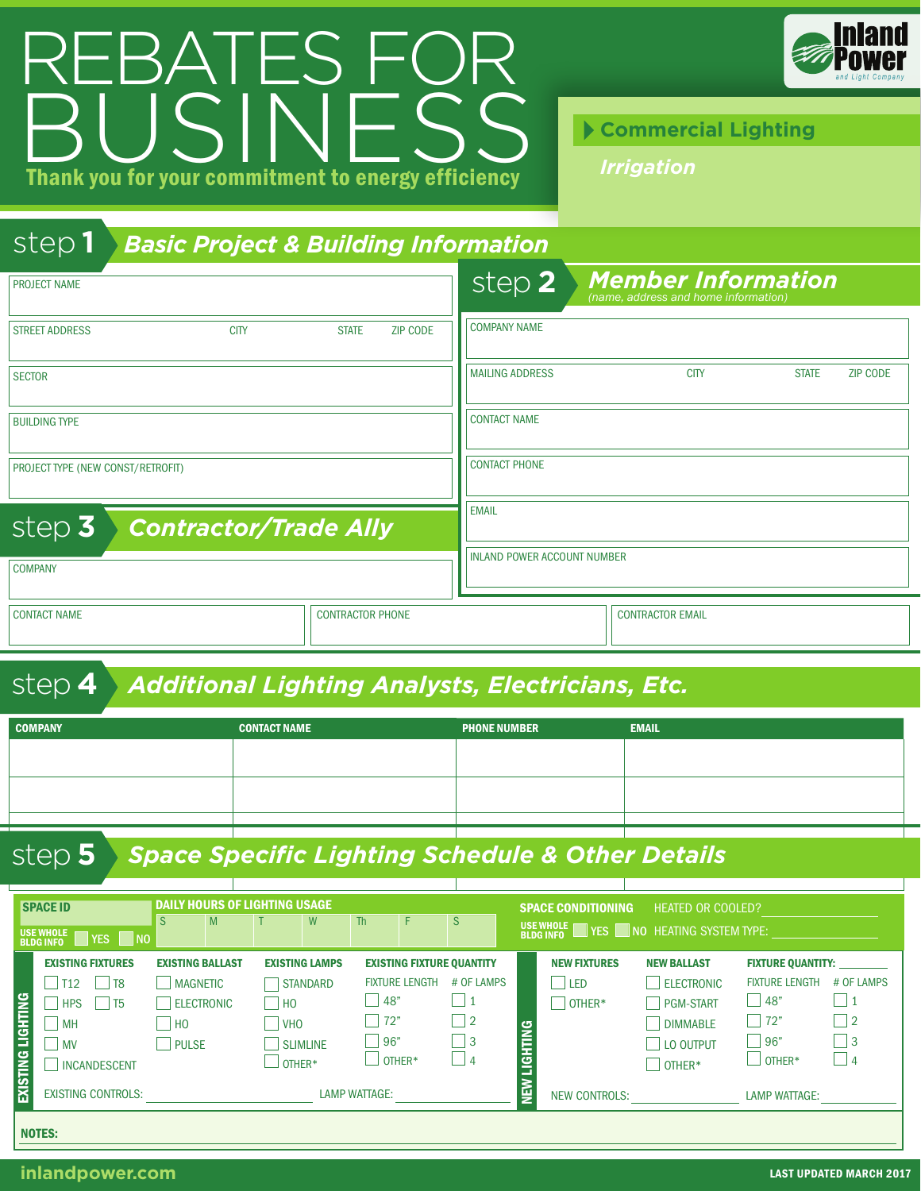## Thank you for your commitment to energy efficiency REBATES FOR Thank you for your commitment to energy efficiency



*Irrigation*

## step **1** *Basic Project & Building Information*

| <b>PROJECT NAME</b>                    |                                 | step 2                             | <b>Member Information</b><br>(name, address and home information) |              |                 |
|----------------------------------------|---------------------------------|------------------------------------|-------------------------------------------------------------------|--------------|-----------------|
| <b>CITY</b><br><b>STREET ADDRESS</b>   | <b>STATE</b><br><b>ZIP CODE</b> | <b>COMPANY NAME</b>                |                                                                   |              |                 |
| <b>SECTOR</b>                          |                                 | <b>MAILING ADDRESS</b>             | <b>CITY</b>                                                       | <b>STATE</b> | <b>ZIP CODE</b> |
| <b>BUILDING TYPE</b>                   |                                 | <b>CONTACT NAME</b>                |                                                                   |              |                 |
| PROJECT TYPE (NEW CONST/RETROFIT)      |                                 | <b>CONTACT PHONE</b>               |                                                                   |              |                 |
| step 3<br><b>Contractor/Trade Ally</b> |                                 | <b>EMAIL</b>                       |                                                                   |              |                 |
| <b>COMPANY</b>                         |                                 | <b>INLAND POWER ACCOUNT NUMBER</b> |                                                                   |              |                 |
| <b>CONTACT NAME</b>                    | <b>CONTRACTOR PHONE</b>         |                                    | <b>CONTRACTOR EMAIL</b>                                           |              |                 |

## step **4** *Additional Lighting Analysts, Electricians, Etc.*

| <b>COMPANY</b> | <b>CONTACT NAME</b> | <b>PHONE NUMBER</b> | <b>EMAIL</b> |
|----------------|---------------------|---------------------|--------------|
|                |                     |                     |              |
|                |                     |                     |              |
|                |                     |                     |              |
|                |                     |                     |              |

## step **5** *Space Specific Lighting Schedule & Other Details*

|                   | <b>SPACE ID</b><br>USE WHOLE <b>WE</b> YES NO                                                                                         | <b>DAILY HOURS OF LIGHTING USAGE</b><br><sub>S</sub>                                            | M |                        | W                                                                     | <b>Th</b>            | F.                                      | <sub>S</sub>                                                                                       |                | <b>SPACE CONDITIONING</b><br>USE WHOLE | <b>HEATED OR COOLED?</b><br>YES NO HEATING SYSTEM TYPE:                                               |                                                                                                    |                                                            |
|-------------------|---------------------------------------------------------------------------------------------------------------------------------------|-------------------------------------------------------------------------------------------------|---|------------------------|-----------------------------------------------------------------------|----------------------|-----------------------------------------|----------------------------------------------------------------------------------------------------|----------------|----------------------------------------|-------------------------------------------------------------------------------------------------------|----------------------------------------------------------------------------------------------------|------------------------------------------------------------|
| EXISTING LIGHTING | <b>EXISTING FIXTURES</b><br>$\vert$ T12<br>T <sub>8</sub><br><b>I</b> HPS<br>l T5<br>×.<br>l I MH<br><b>NV</b><br><b>INCANDESCENT</b> | <b>EXISTING BALLAST</b><br><b>MAGNETIC</b><br><b>ELECTRONIC</b><br>$ $ $ $ HO<br><b>I</b> PULSE |   | H <sub>O</sub><br> VHO | <b>EXISTING LAMPS</b><br><b>STANDARD</b><br><b>SLIMLINE</b><br>OTHER* | 48"<br>72"<br> 96"   | <b>FIXTURE LENGTH</b><br>$\perp$ other* | <b>EXISTING FIXTURE QUANTITY</b><br># OF LAMPS<br>$\vert$ 1<br>$\vert$   2<br>$\Box$ 3<br>$\Box$ 4 | <b>IGHTING</b> | <b>NEW FIXTURES</b><br>l Led<br>OTHER* | <b>NEW BALLAST</b><br><b>ELECTRONIC</b><br><b>PGM-START</b><br><b>DIMMABLE</b><br>LO OUTPUT<br>OTHER* | <b>FIXTURE QUANTITY:</b><br><b>FIXTURE LENGTH</b><br>  148"<br>$\vert$ 72"<br>96"<br>$\Box$ OTHER* | # OF LAMPS<br>$\vert$ 1<br>$\vert$   2<br>   3<br>$\Box$ 4 |
|                   | <b>EXISTING CONTROLS:</b><br><b>NOTES:</b>                                                                                            |                                                                                                 |   |                        |                                                                       | <b>LAMP WATTAGE:</b> |                                         |                                                                                                    | 勇              | <b>NEW CONTROLS:</b>                   |                                                                                                       | <b>LAMP WATTAGE:</b>                                                                               |                                                            |